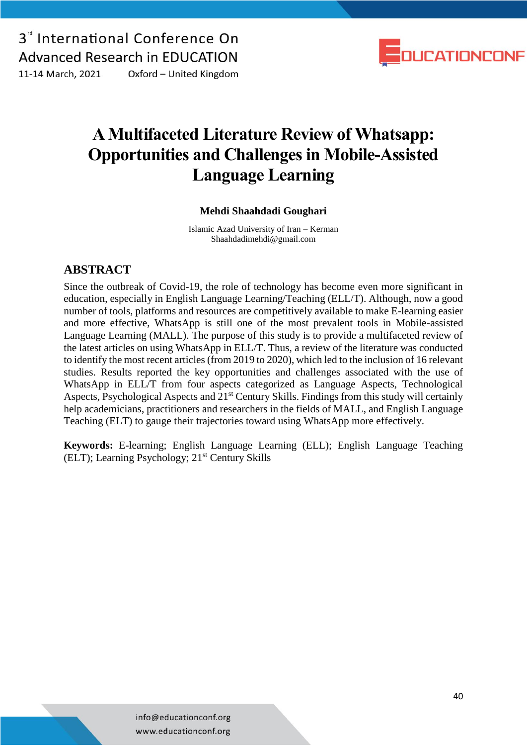3<sup>d</sup> International Conference On **Advanced Research in EDUCATION** 11-14 March, 2021 Oxford - United Kingdom



### **A Multifaceted Literature Review of Whatsapp: Opportunities and Challenges in Mobile-Assisted Language Learning**

### **Mehdi Shaahdadi Goughari**

Islamic Azad University of Iran – Kerman Shaahdadimehdi@gmail.com

### **ABSTRACT**

Since the outbreak of Covid-19, the role of technology has become even more significant in education, especially in English Language Learning/Teaching (ELL/T). Although, now a good number of tools, platforms and resources are competitively available to make E-learning easier and more effective, WhatsApp is still one of the most prevalent tools in Mobile-assisted Language Learning (MALL). The purpose of this study is to provide a multifaceted review of the latest articles on using WhatsApp in ELL/T. Thus, a review of the literature was conducted to identify the most recent articles (from 2019 to 2020), which led to the inclusion of 16 relevant studies. Results reported the key opportunities and challenges associated with the use of WhatsApp in ELL/T from four aspects categorized as Language Aspects, Technological Aspects, Psychological Aspects and 21<sup>st</sup> Century Skills. Findings from this study will certainly help academicians, practitioners and researchers in the fields of MALL, and English Language Teaching (ELT) to gauge their trajectories toward using WhatsApp more effectively.

**Keywords:** E-learning; English Language Learning (ELL); English Language Teaching (ELT); Learning Psychology; 21<sup>st</sup> Century Skills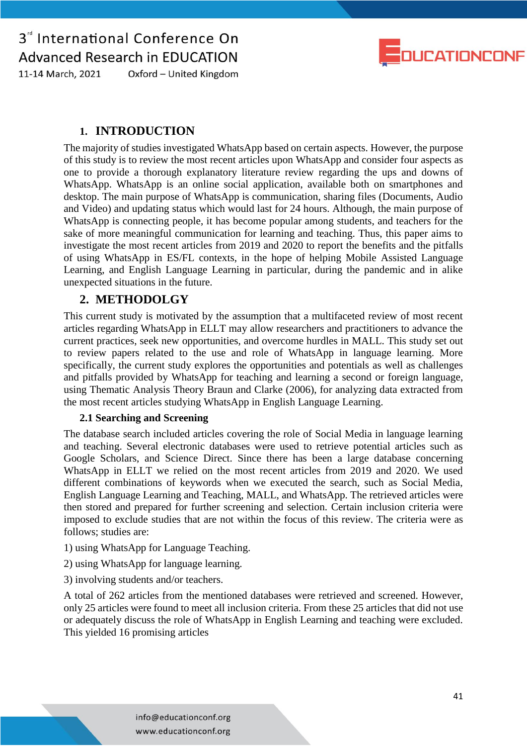

Oxford - United Kingdom 11-14 March, 2021

### **1. INTRODUCTION**

The majority of studies investigated WhatsApp based on certain aspects. However, the purpose of this study is to review the most recent articles upon WhatsApp and consider four aspects as one to provide a thorough explanatory literature review regarding the ups and downs of WhatsApp. WhatsApp is an online social application, available both on smartphones and desktop. The main purpose of WhatsApp is communication, sharing files (Documents, Audio and Video) and updating status which would last for 24 hours. Although, the main purpose of WhatsApp is connecting people, it has become popular among students, and teachers for the sake of more meaningful communication for learning and teaching. Thus, this paper aims to investigate the most recent articles from 2019 and 2020 to report the benefits and the pitfalls of using WhatsApp in ES/FL contexts, in the hope of helping Mobile Assisted Language Learning, and English Language Learning in particular, during the pandemic and in alike unexpected situations in the future.

### **2. METHODOLGY**

This current study is motivated by the assumption that a multifaceted review of most recent articles regarding WhatsApp in ELLT may allow researchers and practitioners to advance the current practices, seek new opportunities, and overcome hurdles in MALL. This study set out to review papers related to the use and role of WhatsApp in language learning. More specifically, the current study explores the opportunities and potentials as well as challenges and pitfalls provided by WhatsApp for teaching and learning a second or foreign language, using Thematic Analysis Theory Braun and Clarke (2006), for analyzing data extracted from the most recent articles studying WhatsApp in English Language Learning.

#### **2.1 Searching and Screening**

The database search included articles covering the role of Social Media in language learning and teaching. Several electronic databases were used to retrieve potential articles such as Google Scholars, and Science Direct. Since there has been a large database concerning WhatsApp in ELLT we relied on the most recent articles from 2019 and 2020. We used different combinations of keywords when we executed the search, such as Social Media, English Language Learning and Teaching, MALL, and WhatsApp. The retrieved articles were then stored and prepared for further screening and selection. Certain inclusion criteria were imposed to exclude studies that are not within the focus of this review. The criteria were as follows; studies are:

1) using WhatsApp for Language Teaching.

- 2) using WhatsApp for language learning.
- 3) involving students and/or teachers.

A total of 262 articles from the mentioned databases were retrieved and screened. However, only 25 articles were found to meet all inclusion criteria. From these 25 articles that did not use or adequately discuss the role of WhatsApp in English Learning and teaching were excluded. This yielded 16 promising articles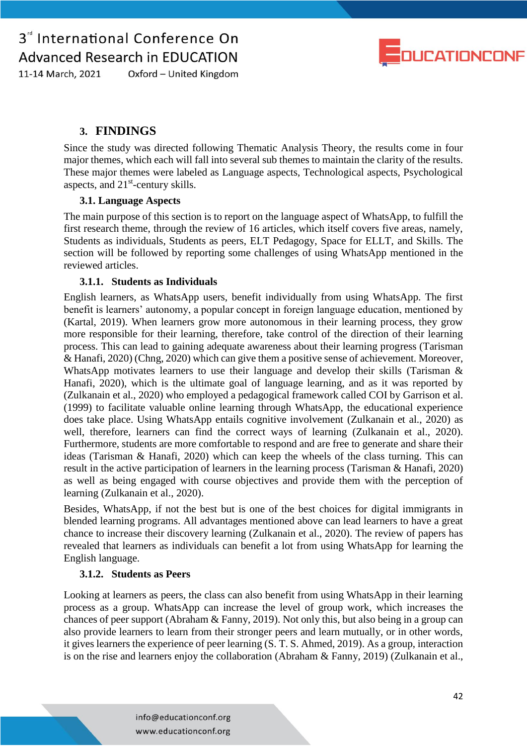

11-14 March, 2021 Oxford - United Kingdom

### **3. FINDINGS**

Since the study was directed following Thematic Analysis Theory, the results come in four major themes, which each will fall into several sub themes to maintain the clarity of the results. These major themes were labeled as Language aspects, Technological aspects, Psychological aspects, and 21<sup>st</sup>-century skills.

### **3.1. Language Aspects**

The main purpose of this section is to report on the language aspect of WhatsApp, to fulfill the first research theme, through the review of 16 articles, which itself covers five areas, namely, Students as individuals, Students as peers, ELT Pedagogy, Space for ELLT, and Skills. The section will be followed by reporting some challenges of using WhatsApp mentioned in the reviewed articles.

### **3.1.1. Students as Individuals**

English learners, as WhatsApp users, benefit individually from using WhatsApp. The first benefit is learners' autonomy, a popular concept in foreign language education, mentioned by (Kartal, 2019). When learners grow more autonomous in their learning process, they grow more responsible for their learning, therefore, take control of the direction of their learning process. This can lead to gaining adequate awareness about their learning progress (Tarisman & Hanafi, 2020) (Chng, 2020) which can give them a positive sense of achievement. Moreover, WhatsApp motivates learners to use their language and develop their skills (Tarisman & Hanafi, 2020), which is the ultimate goal of language learning, and as it was reported by (Zulkanain et al., 2020) who employed a pedagogical framework called COI by Garrison et al. (1999) to facilitate valuable online learning through WhatsApp, the educational experience does take place. Using WhatsApp entails cognitive involvement (Zulkanain et al., 2020) as well, therefore, learners can find the correct ways of learning (Zulkanain et al., 2020). Furthermore, students are more comfortable to respond and are free to generate and share their ideas (Tarisman & Hanafi, 2020) which can keep the wheels of the class turning. This can result in the active participation of learners in the learning process (Tarisman & Hanafi, 2020) as well as being engaged with course objectives and provide them with the perception of learning (Zulkanain et al., 2020).

Besides, WhatsApp, if not the best but is one of the best choices for digital immigrants in blended learning programs. All advantages mentioned above can lead learners to have a great chance to increase their discovery learning (Zulkanain et al., 2020). The review of papers has revealed that learners as individuals can benefit a lot from using WhatsApp for learning the English language.

### **3.1.2. Students as Peers**

Looking at learners as peers, the class can also benefit from using WhatsApp in their learning process as a group. WhatsApp can increase the level of group work, which increases the chances of peer support (Abraham & Fanny, 2019). Not only this, but also being in a group can also provide learners to learn from their stronger peers and learn mutually, or in other words, it gives learners the experience of peer learning (S. T. S. Ahmed, 2019). As a group, interaction is on the rise and learners enjoy the collaboration (Abraham & Fanny, 2019) (Zulkanain et al.,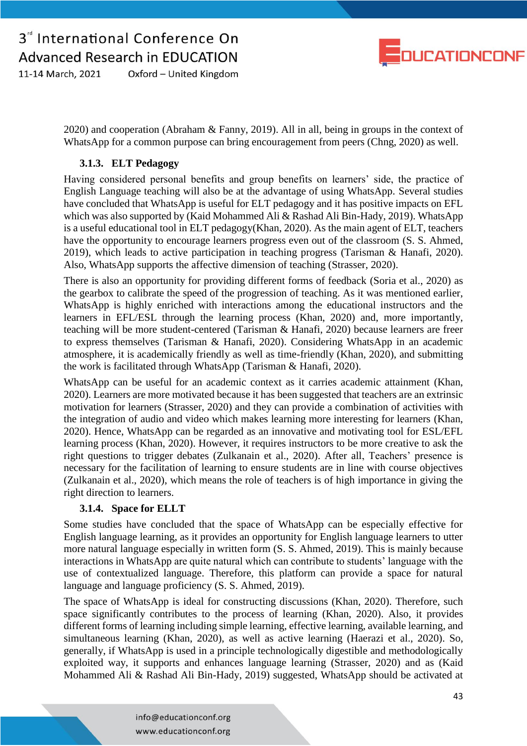

11-14 March, 2021 Oxford - United Kingdom

> 2020) and cooperation (Abraham & Fanny, 2019). All in all, being in groups in the context of WhatsApp for a common purpose can bring encouragement from peers (Chng, 2020) as well.

### **3.1.3. ELT Pedagogy**

Having considered personal benefits and group benefits on learners' side, the practice of English Language teaching will also be at the advantage of using WhatsApp. Several studies have concluded that WhatsApp is useful for ELT pedagogy and it has positive impacts on EFL which was also supported by (Kaid Mohammed Ali & Rashad Ali Bin-Hady, 2019). WhatsApp is a useful educational tool in ELT pedagogy(Khan, 2020). As the main agent of ELT, teachers have the opportunity to encourage learners progress even out of the classroom (S. S. Ahmed, 2019), which leads to active participation in teaching progress (Tarisman & Hanafi, 2020). Also, WhatsApp supports the affective dimension of teaching (Strasser, 2020).

There is also an opportunity for providing different forms of feedback (Soria et al., 2020) as the gearbox to calibrate the speed of the progression of teaching. As it was mentioned earlier, WhatsApp is highly enriched with interactions among the educational instructors and the learners in EFL/ESL through the learning process (Khan, 2020) and, more importantly, teaching will be more student-centered (Tarisman & Hanafi, 2020) because learners are freer to express themselves (Tarisman & Hanafi, 2020). Considering WhatsApp in an academic atmosphere, it is academically friendly as well as time-friendly (Khan, 2020), and submitting the work is facilitated through WhatsApp (Tarisman & Hanafi, 2020).

WhatsApp can be useful for an academic context as it carries academic attainment (Khan, 2020). Learners are more motivated because it has been suggested that teachers are an extrinsic motivation for learners (Strasser, 2020) and they can provide a combination of activities with the integration of audio and video which makes learning more interesting for learners (Khan, 2020). Hence, WhatsApp can be regarded as an innovative and motivating tool for ESL/EFL learning process (Khan, 2020). However, it requires instructors to be more creative to ask the right questions to trigger debates (Zulkanain et al., 2020). After all, Teachers' presence is necessary for the facilitation of learning to ensure students are in line with course objectives (Zulkanain et al., 2020), which means the role of teachers is of high importance in giving the right direction to learners.

### **3.1.4. Space for ELLT**

Some studies have concluded that the space of WhatsApp can be especially effective for English language learning, as it provides an opportunity for English language learners to utter more natural language especially in written form (S. S. Ahmed, 2019). This is mainly because interactions in WhatsApp are quite natural which can contribute to students' language with the use of contextualized language. Therefore, this platform can provide a space for natural language and language proficiency (S. S. Ahmed, 2019).

The space of WhatsApp is ideal for constructing discussions (Khan, 2020). Therefore, such space significantly contributes to the process of learning (Khan, 2020). Also, it provides different forms of learning including simple learning, effective learning, available learning, and simultaneous learning (Khan, 2020), as well as active learning (Haerazi et al., 2020). So, generally, if WhatsApp is used in a principle technologically digestible and methodologically exploited way, it supports and enhances language learning (Strasser, 2020) and as (Kaid Mohammed Ali & Rashad Ali Bin-Hady, 2019) suggested, WhatsApp should be activated at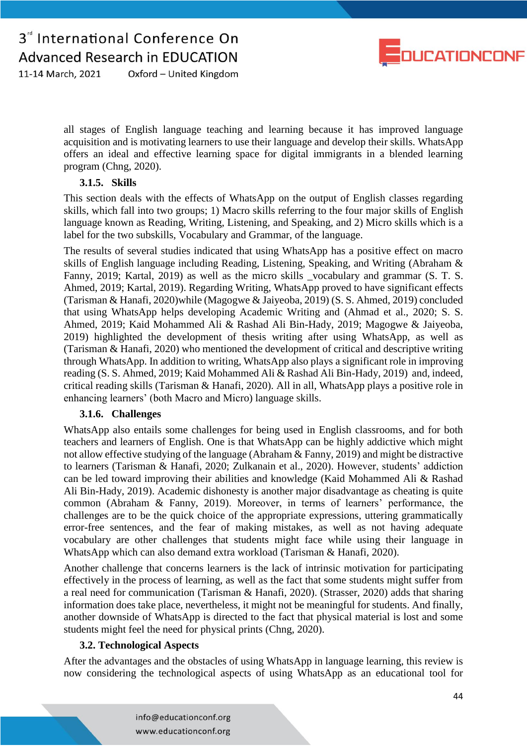

11-14 March, 2021 Oxford - United Kingdom

> all stages of English language teaching and learning because it has improved language acquisition and is motivating learners to use their language and develop their skills. WhatsApp offers an ideal and effective learning space for digital immigrants in a blended learning program (Chng, 2020).

#### **3.1.5. Skills**

This section deals with the effects of WhatsApp on the output of English classes regarding skills, which fall into two groups; 1) Macro skills referring to the four major skills of English language known as Reading, Writing, Listening, and Speaking, and 2) Micro skills which is a label for the two subskills, Vocabulary and Grammar, of the language.

The results of several studies indicated that using WhatsApp has a positive effect on macro skills of English language including Reading, Listening, Speaking, and Writing (Abraham & Fanny, 2019; Kartal, 2019) as well as the micro skills \_vocabulary and grammar (S. T. S. Ahmed, 2019; Kartal, 2019). Regarding Writing, WhatsApp proved to have significant effects (Tarisman & Hanafi, 2020)while (Magogwe & Jaiyeoba, 2019) (S. S. Ahmed, 2019) concluded that using WhatsApp helps developing Academic Writing and (Ahmad et al., 2020; S. S. Ahmed, 2019; Kaid Mohammed Ali & Rashad Ali Bin-Hady, 2019; Magogwe & Jaiyeoba, 2019) highlighted the development of thesis writing after using WhatsApp, as well as (Tarisman & Hanafi, 2020) who mentioned the development of critical and descriptive writing through WhatsApp. In addition to writing, WhatsApp also plays a significant role in improving reading (S. S. Ahmed, 2019; Kaid Mohammed Ali & Rashad Ali Bin-Hady, 2019) and, indeed, critical reading skills (Tarisman & Hanafi, 2020). All in all, WhatsApp plays a positive role in enhancing learners' (both Macro and Micro) language skills.

#### **3.1.6. Challenges**

WhatsApp also entails some challenges for being used in English classrooms, and for both teachers and learners of English. One is that WhatsApp can be highly addictive which might not allow effective studying of the language (Abraham & Fanny, 2019) and might be distractive to learners (Tarisman & Hanafi, 2020; Zulkanain et al., 2020). However, students' addiction can be led toward improving their abilities and knowledge (Kaid Mohammed Ali & Rashad Ali Bin-Hady, 2019). Academic dishonesty is another major disadvantage as cheating is quite common (Abraham & Fanny, 2019). Moreover, in terms of learners' performance, the challenges are to be the quick choice of the appropriate expressions, uttering grammatically error-free sentences, and the fear of making mistakes, as well as not having adequate vocabulary are other challenges that students might face while using their language in WhatsApp which can also demand extra workload (Tarisman & Hanafi, 2020).

Another challenge that concerns learners is the lack of intrinsic motivation for participating effectively in the process of learning, as well as the fact that some students might suffer from a real need for communication (Tarisman & Hanafi, 2020). (Strasser, 2020) adds that sharing information does take place, nevertheless, it might not be meaningful for students. And finally, another downside of WhatsApp is directed to the fact that physical material is lost and some students might feel the need for physical prints (Chng, 2020).

### **3.2. Technological Aspects**

After the advantages and the obstacles of using WhatsApp in language learning, this review is now considering the technological aspects of using WhatsApp as an educational tool for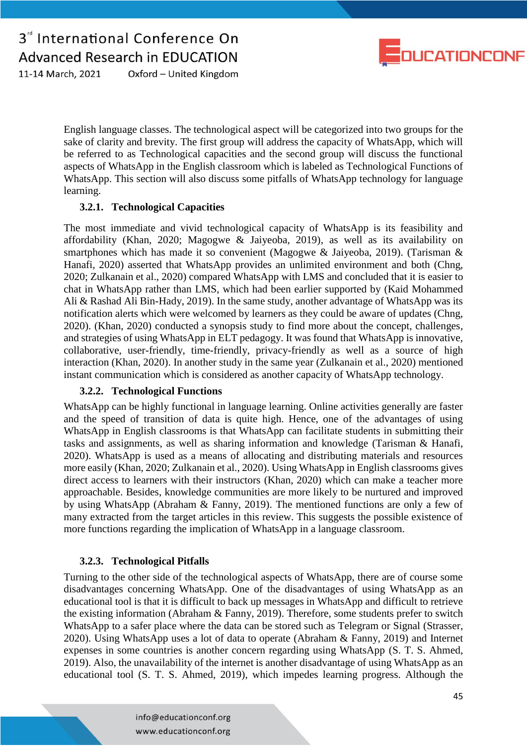

11-14 March, 2021 Oxford - United Kingdom

> English language classes. The technological aspect will be categorized into two groups for the sake of clarity and brevity. The first group will address the capacity of WhatsApp, which will be referred to as Technological capacities and the second group will discuss the functional aspects of WhatsApp in the English classroom which is labeled as Technological Functions of WhatsApp. This section will also discuss some pitfalls of WhatsApp technology for language learning.

### **3.2.1. Technological Capacities**

The most immediate and vivid technological capacity of WhatsApp is its feasibility and affordability (Khan, 2020; Magogwe & Jaiyeoba, 2019), as well as its availability on smartphones which has made it so convenient (Magogwe & Jaiyeoba, 2019). (Tarisman & Hanafi, 2020) asserted that WhatsApp provides an unlimited environment and both (Chng, 2020; Zulkanain et al., 2020) compared WhatsApp with LMS and concluded that it is easier to chat in WhatsApp rather than LMS, which had been earlier supported by (Kaid Mohammed Ali & Rashad Ali Bin-Hady, 2019). In the same study, another advantage of WhatsApp was its notification alerts which were welcomed by learners as they could be aware of updates (Chng, 2020). (Khan, 2020) conducted a synopsis study to find more about the concept, challenges, and strategies of using WhatsApp in ELT pedagogy. It was found that WhatsApp is innovative, collaborative, user-friendly, time-friendly, privacy-friendly as well as a source of high interaction (Khan, 2020). In another study in the same year (Zulkanain et al., 2020) mentioned instant communication which is considered as another capacity of WhatsApp technology.

### **3.2.2. Technological Functions**

WhatsApp can be highly functional in language learning. Online activities generally are faster and the speed of transition of data is quite high. Hence, one of the advantages of using WhatsApp in English classrooms is that WhatsApp can facilitate students in submitting their tasks and assignments, as well as sharing information and knowledge (Tarisman & Hanafi, 2020). WhatsApp is used as a means of allocating and distributing materials and resources more easily (Khan, 2020; Zulkanain et al., 2020). Using WhatsApp in English classrooms gives direct access to learners with their instructors (Khan, 2020) which can make a teacher more approachable. Besides, knowledge communities are more likely to be nurtured and improved by using WhatsApp (Abraham & Fanny, 2019). The mentioned functions are only a few of many extracted from the target articles in this review. This suggests the possible existence of more functions regarding the implication of WhatsApp in a language classroom.

### **3.2.3. Technological Pitfalls**

Turning to the other side of the technological aspects of WhatsApp, there are of course some disadvantages concerning WhatsApp. One of the disadvantages of using WhatsApp as an educational tool is that it is difficult to back up messages in WhatsApp and difficult to retrieve the existing information (Abraham & Fanny, 2019). Therefore, some students prefer to switch WhatsApp to a safer place where the data can be stored such as Telegram or Signal (Strasser, 2020). Using WhatsApp uses a lot of data to operate (Abraham & Fanny, 2019) and Internet expenses in some countries is another concern regarding using WhatsApp (S. T. S. Ahmed, 2019). Also, the unavailability of the internet is another disadvantage of using WhatsApp as an educational tool (S. T. S. Ahmed, 2019), which impedes learning progress. Although the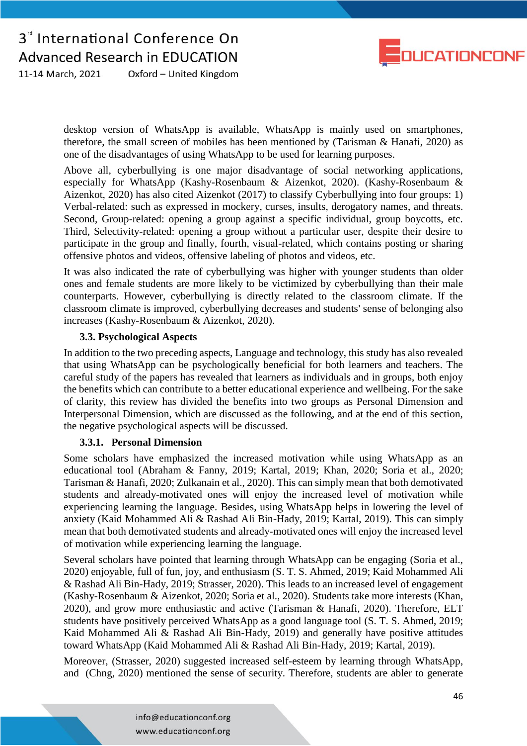

11-14 March, 2021 Oxford - United Kingdom

> desktop version of WhatsApp is available, WhatsApp is mainly used on smartphones, therefore, the small screen of mobiles has been mentioned by (Tarisman & Hanafi, 2020) as one of the disadvantages of using WhatsApp to be used for learning purposes.

> Above all, cyberbullying is one major disadvantage of social networking applications, especially for WhatsApp (Kashy-Rosenbaum & Aizenkot, 2020). (Kashy-Rosenbaum & Aizenkot, 2020) has also cited Aizenkot (2017) to classify Cyberbullying into four groups: 1) Verbal-related: such as expressed in mockery, curses, insults, derogatory names, and threats. Second, Group-related: opening a group against a specific individual, group boycotts, etc. Third, Selectivity-related: opening a group without a particular user, despite their desire to participate in the group and finally, fourth, visual-related, which contains posting or sharing offensive photos and videos, offensive labeling of photos and videos, etc.

> It was also indicated the rate of cyberbullying was higher with younger students than older ones and female students are more likely to be victimized by cyberbullying than their male counterparts. However, cyberbullying is directly related to the classroom climate. If the classroom climate is improved, cyberbullying decreases and students' sense of belonging also increases (Kashy-Rosenbaum & Aizenkot, 2020).

#### **3.3. Psychological Aspects**

In addition to the two preceding aspects, Language and technology, this study has also revealed that using WhatsApp can be psychologically beneficial for both learners and teachers. The careful study of the papers has revealed that learners as individuals and in groups, both enjoy the benefits which can contribute to a better educational experience and wellbeing. For the sake of clarity, this review has divided the benefits into two groups as Personal Dimension and Interpersonal Dimension, which are discussed as the following, and at the end of this section, the negative psychological aspects will be discussed.

#### **3.3.1. Personal Dimension**

Some scholars have emphasized the increased motivation while using WhatsApp as an educational tool (Abraham & Fanny, 2019; Kartal, 2019; Khan, 2020; Soria et al., 2020; Tarisman & Hanafi, 2020; Zulkanain et al., 2020). This can simply mean that both demotivated students and already-motivated ones will enjoy the increased level of motivation while experiencing learning the language. Besides, using WhatsApp helps in lowering the level of anxiety (Kaid Mohammed Ali & Rashad Ali Bin-Hady, 2019; Kartal, 2019). This can simply mean that both demotivated students and already-motivated ones will enjoy the increased level of motivation while experiencing learning the language.

Several scholars have pointed that learning through WhatsApp can be engaging (Soria et al., 2020) enjoyable, full of fun, joy, and enthusiasm (S. T. S. Ahmed, 2019; Kaid Mohammed Ali & Rashad Ali Bin-Hady, 2019; Strasser, 2020). This leads to an increased level of engagement (Kashy-Rosenbaum & Aizenkot, 2020; Soria et al., 2020). Students take more interests (Khan, 2020), and grow more enthusiastic and active (Tarisman & Hanafi, 2020). Therefore, ELT students have positively perceived WhatsApp as a good language tool (S. T. S. Ahmed, 2019; Kaid Mohammed Ali & Rashad Ali Bin-Hady, 2019) and generally have positive attitudes toward WhatsApp (Kaid Mohammed Ali & Rashad Ali Bin-Hady, 2019; Kartal, 2019).

Moreover, (Strasser, 2020) suggested increased self-esteem by learning through WhatsApp, and (Chng, 2020) mentioned the sense of security. Therefore, students are abler to generate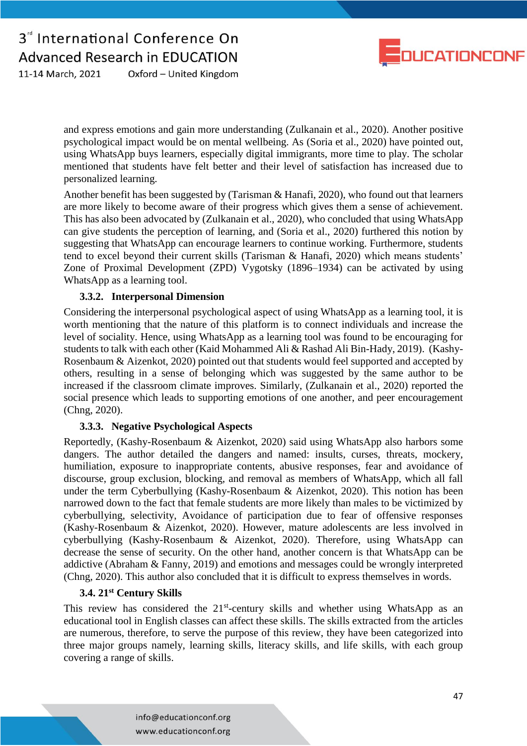

11-14 March, 2021 Oxford - United Kingdom

> and express emotions and gain more understanding (Zulkanain et al., 2020). Another positive psychological impact would be on mental wellbeing. As (Soria et al., 2020) have pointed out, using WhatsApp buys learners, especially digital immigrants, more time to play. The scholar mentioned that students have felt better and their level of satisfaction has increased due to personalized learning.

> Another benefit has been suggested by (Tarisman & Hanafi, 2020), who found out that learners are more likely to become aware of their progress which gives them a sense of achievement. This has also been advocated by (Zulkanain et al., 2020), who concluded that using WhatsApp can give students the perception of learning, and (Soria et al., 2020) furthered this notion by suggesting that WhatsApp can encourage learners to continue working. Furthermore, students tend to excel beyond their current skills (Tarisman & Hanafi, 2020) which means students' Zone of Proximal Development (ZPD) [Vygotsky](https://en.wikipedia.org/wiki/Lev_Vygotsky) (1896–1934) can be activated by using WhatsApp as a learning tool.

### **3.3.2. Interpersonal Dimension**

Considering the interpersonal psychological aspect of using WhatsApp as a learning tool, it is worth mentioning that the nature of this platform is to connect individuals and increase the level of sociality. Hence, using WhatsApp as a learning tool was found to be encouraging for students to talk with each other (Kaid Mohammed Ali & Rashad Ali Bin-Hady, 2019). (Kashy-Rosenbaum & Aizenkot, 2020) pointed out that students would feel supported and accepted by others, resulting in a sense of belonging which was suggested by the same author to be increased if the classroom climate improves. Similarly, (Zulkanain et al., 2020) reported the social presence which leads to supporting emotions of one another, and peer encouragement (Chng, 2020).

### **3.3.3. Negative Psychological Aspects**

Reportedly, (Kashy-Rosenbaum & Aizenkot, 2020) said using WhatsApp also harbors some dangers. The author detailed the dangers and named: insults, curses, threats, mockery, humiliation, exposure to inappropriate contents, abusive responses, fear and avoidance of discourse, group exclusion, blocking, and removal as members of WhatsApp, which all fall under the term Cyberbullying (Kashy-Rosenbaum & Aizenkot, 2020). This notion has been narrowed down to the fact that female students are more likely than males to be victimized by cyberbullying, selectivity, Avoidance of participation due to fear of offensive responses (Kashy-Rosenbaum & Aizenkot, 2020). However, mature adolescents are less involved in cyberbullying (Kashy-Rosenbaum & Aizenkot, 2020). Therefore, using WhatsApp can decrease the sense of security. On the other hand, another concern is that WhatsApp can be addictive (Abraham & Fanny, 2019) and emotions and messages could be wrongly interpreted (Chng, 2020). This author also concluded that it is difficult to express themselves in words.

### **3.4. 21st Century Skills**

This review has considered the  $21<sup>st</sup>$ -century skills and whether using WhatsApp as an educational tool in English classes can affect these skills. The skills extracted from the articles are numerous, therefore, to serve the purpose of this review, they have been categorized into three major groups namely, learning skills, literacy skills, and life skills, with each group covering a range of skills.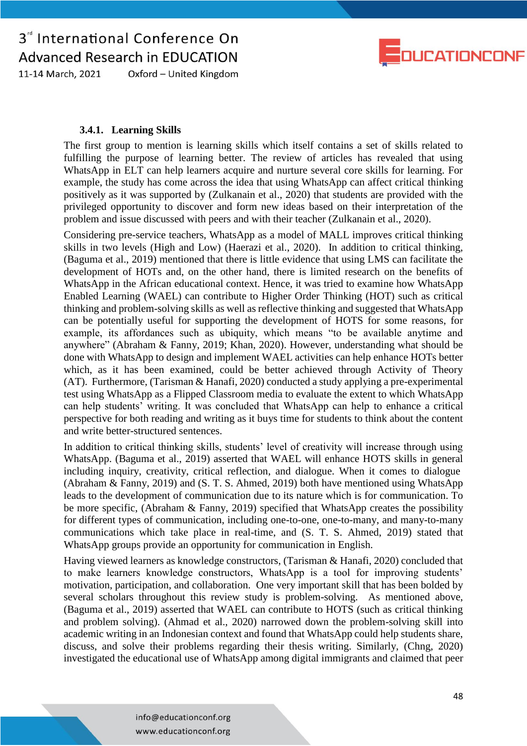

11-14 March, 2021 Oxford - United Kingdom

### **3.4.1. Learning Skills**

The first group to mention is learning skills which itself contains a set of skills related to fulfilling the purpose of learning better. The review of articles has revealed that using WhatsApp in ELT can help learners acquire and nurture several core skills for learning. For example, the study has come across the idea that using WhatsApp can affect critical thinking positively as it was supported by (Zulkanain et al., 2020) that students are provided with the privileged opportunity to discover and form new ideas based on their interpretation of the problem and issue discussed with peers and with their teacher (Zulkanain et al., 2020).

Considering pre-service teachers, WhatsApp as a model of MALL improves critical thinking skills in two levels (High and Low) (Haerazi et al., 2020). In addition to critical thinking, (Baguma et al., 2019) mentioned that there is little evidence that using LMS can facilitate the development of HOTs and, on the other hand, there is limited research on the benefits of WhatsApp in the African educational context. Hence, it was tried to examine how WhatsApp Enabled Learning (WAEL) can contribute to Higher Order Thinking (HOT) such as critical thinking and problem-solving skills as well as reflective thinking and suggested that WhatsApp can be potentially useful for supporting the development of HOTS for some reasons, for example, its affordances such as ubiquity, which means "to be available anytime and anywhere" (Abraham & Fanny, 2019; Khan, 2020). However, understanding what should be done with WhatsApp to design and implement WAEL activities can help enhance HOTs better which, as it has been examined, could be better achieved through Activity of Theory (AT). Furthermore, (Tarisman & Hanafi, 2020) conducted a study applying a pre-experimental test using WhatsApp as a Flipped Classroom media to evaluate the extent to which WhatsApp can help students' writing. It was concluded that WhatsApp can help to enhance a critical perspective for both reading and writing as it buys time for students to think about the content and write better-structured sentences.

In addition to critical thinking skills, students' level of creativity will increase through using WhatsApp. (Baguma et al., 2019) asserted that WAEL will enhance HOTS skills in general including inquiry, creativity, critical reflection, and dialogue. When it comes to dialogue (Abraham & Fanny, 2019) and (S. T. S. Ahmed, 2019) both have mentioned using WhatsApp leads to the development of communication due to its nature which is for communication. To be more specific, (Abraham & Fanny, 2019) specified that WhatsApp creates the possibility for different types of communication, including one-to-one, one-to-many, and many-to-many communications which take place in real-time, and (S. T. S. Ahmed, 2019) stated that WhatsApp groups provide an opportunity for communication in English.

Having viewed learners as knowledge constructors, (Tarisman & Hanafi, 2020) concluded that to make learners knowledge constructors, WhatsApp is a tool for improving students' motivation, participation, and collaboration. One very important skill that has been bolded by several scholars throughout this review study is problem-solving. As mentioned above, (Baguma et al., 2019) asserted that WAEL can contribute to HOTS (such as critical thinking and problem solving). (Ahmad et al., 2020) narrowed down the problem-solving skill into academic writing in an Indonesian context and found that WhatsApp could help students share, discuss, and solve their problems regarding their thesis writing. Similarly, (Chng, 2020) investigated the educational use of WhatsApp among digital immigrants and claimed that peer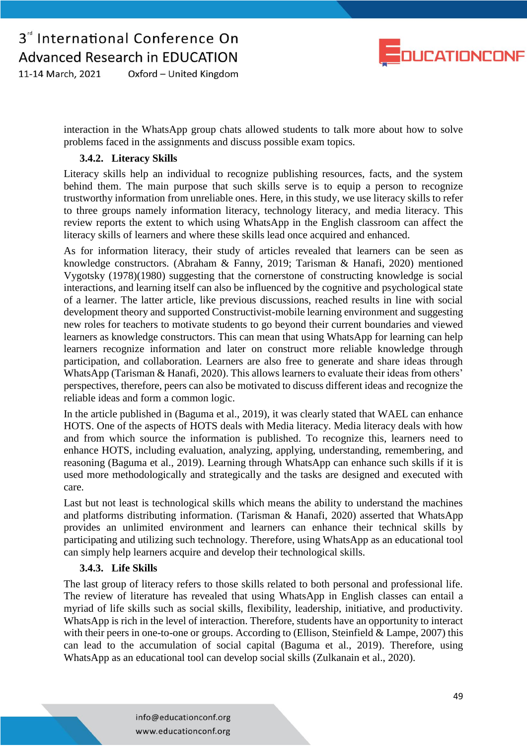

11-14 March, 2021 Oxford - United Kingdom

> interaction in the WhatsApp group chats allowed students to talk more about how to solve problems faced in the assignments and discuss possible exam topics.

### **3.4.2. Literacy Skills**

Literacy skills help an individual to recognize publishing resources, facts, and the system behind them. The main purpose that such skills serve is to equip a person to recognize trustworthy information from unreliable ones. Here, in this study, we use literacy skills to refer to three groups namely information literacy, technology literacy, and media literacy. This review reports the extent to which using WhatsApp in the English classroom can affect the literacy skills of learners and where these skills lead once acquired and enhanced.

As for information literacy, their study of articles revealed that learners can be seen as knowledge constructors. (Abraham & Fanny, 2019; Tarisman & Hanafi, 2020) mentioned Vygotsky (1978)(1980) suggesting that the cornerstone of constructing knowledge is social interactions, and learning itself can also be influenced by the cognitive and psychological state of a learner. The latter article, like previous discussions, reached results in line with social development theory and supported Constructivist-mobile learning environment and suggesting new roles for teachers to motivate students to go beyond their current boundaries and viewed learners as knowledge constructors. This can mean that using WhatsApp for learning can help learners recognize information and later on construct more reliable knowledge through participation, and collaboration. Learners are also free to generate and share ideas through WhatsApp (Tarisman & Hanafi, 2020). This allows learners to evaluate their ideas from others' perspectives, therefore, peers can also be motivated to discuss different ideas and recognize the reliable ideas and form a common logic.

In the article published in (Baguma et al., 2019), it was clearly stated that WAEL can enhance HOTS. One of the aspects of HOTS deals with Media literacy. Media literacy deals with how and from which source the information is published. To recognize this, learners need to enhance HOTS, including evaluation, analyzing, applying, understanding, remembering, and reasoning (Baguma et al., 2019). Learning through WhatsApp can enhance such skills if it is used more methodologically and strategically and the tasks are designed and executed with care.

Last but not least is technological skills which means the ability to understand the machines and platforms distributing information. (Tarisman & Hanafi, 2020) asserted that WhatsApp provides an unlimited environment and learners can enhance their technical skills by participating and utilizing such technology. Therefore, using WhatsApp as an educational tool can simply help learners acquire and develop their technological skills.

#### **3.4.3. Life Skills**

The last group of literacy refers to those skills related to both personal and professional life. The review of literature has revealed that using WhatsApp in English classes can entail a myriad of life skills such as social skills, flexibility, leadership, initiative, and productivity. WhatsApp is rich in the level of interaction. Therefore, students have an opportunity to interact with their peers in one-to-one or groups. According to (Ellison, Steinfield & Lampe, 2007) this can lead to the accumulation of social capital (Baguma et al., 2019). Therefore, using WhatsApp as an educational tool can develop social skills (Zulkanain et al., 2020).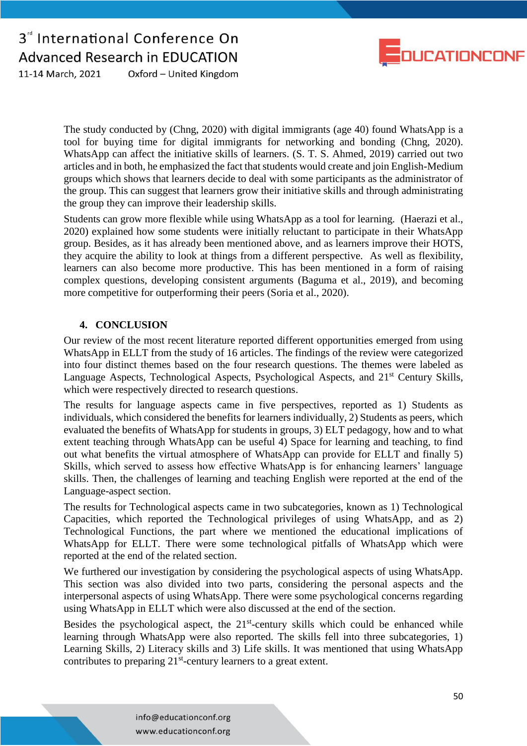

Oxford - United Kingdom 11-14 March, 2021

> The study conducted by (Chng, 2020) with digital immigrants (age 40) found WhatsApp is a tool for buying time for digital immigrants for networking and bonding (Chng, 2020). WhatsApp can affect the initiative skills of learners. (S. T. S. Ahmed, 2019) carried out two articles and in both, he emphasized the fact that students would create and join English-Medium groups which shows that learners decide to deal with some participants as the administrator of the group. This can suggest that learners grow their initiative skills and through administrating the group they can improve their leadership skills.

> Students can grow more flexible while using WhatsApp as a tool for learning. (Haerazi et al., 2020) explained how some students were initially reluctant to participate in their WhatsApp group. Besides, as it has already been mentioned above, and as learners improve their HOTS, they acquire the ability to look at things from a different perspective. As well as flexibility, learners can also become more productive. This has been mentioned in a form of raising complex questions, developing consistent arguments (Baguma et al., 2019), and becoming more competitive for outperforming their peers (Soria et al., 2020).

### **4. CONCLUSION**

Our review of the most recent literature reported different opportunities emerged from using WhatsApp in ELLT from the study of 16 articles. The findings of the review were categorized into four distinct themes based on the four research questions. The themes were labeled as Language Aspects, Technological Aspects, Psychological Aspects, and 21<sup>st</sup> Century Skills, which were respectively directed to research questions.

The results for language aspects came in five perspectives, reported as 1) Students as individuals, which considered the benefits for learners individually, 2) Students as peers, which evaluated the benefits of WhatsApp for students in groups, 3) ELT pedagogy, how and to what extent teaching through WhatsApp can be useful 4) Space for learning and teaching, to find out what benefits the virtual atmosphere of WhatsApp can provide for ELLT and finally 5) Skills, which served to assess how effective WhatsApp is for enhancing learners' language skills. Then, the challenges of learning and teaching English were reported at the end of the Language-aspect section.

The results for Technological aspects came in two subcategories, known as 1) Technological Capacities, which reported the Technological privileges of using WhatsApp, and as 2) Technological Functions, the part where we mentioned the educational implications of WhatsApp for ELLT. There were some technological pitfalls of WhatsApp which were reported at the end of the related section.

We furthered our investigation by considering the psychological aspects of using WhatsApp. This section was also divided into two parts, considering the personal aspects and the interpersonal aspects of using WhatsApp. There were some psychological concerns regarding using WhatsApp in ELLT which were also discussed at the end of the section.

Besides the psychological aspect, the  $21<sup>st</sup>$ -century skills which could be enhanced while learning through WhatsApp were also reported. The skills fell into three subcategories, 1) Learning Skills, 2) Literacy skills and 3) Life skills. It was mentioned that using WhatsApp contributes to preparing  $21<sup>st</sup>$ -century learners to a great extent.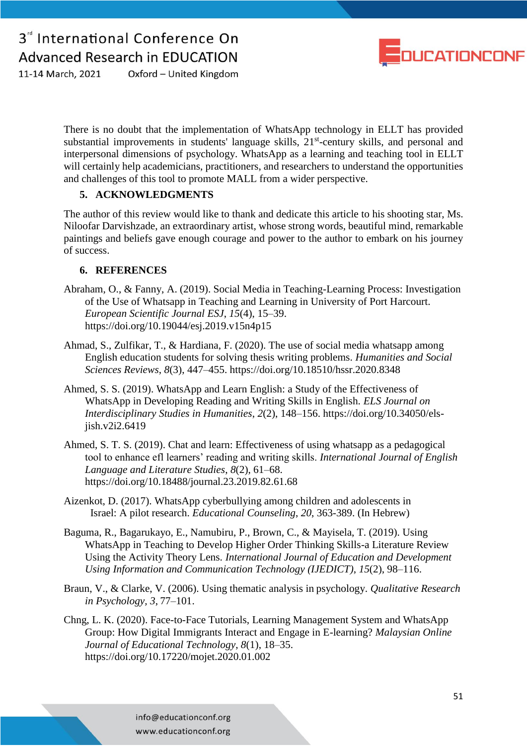

11-14 March. 2021 Oxford - United Kingdom

> There is no doubt that the implementation of WhatsApp technology in ELLT has provided substantial improvements in students' language skills, 21<sup>st</sup>-century skills, and personal and interpersonal dimensions of psychology. WhatsApp as a learning and teaching tool in ELLT will certainly help academicians, practitioners, and researchers to understand the opportunities and challenges of this tool to promote MALL from a wider perspective.

### **5. ACKNOWLEDGMENTS**

The author of this review would like to thank and dedicate this article to his shooting star, Ms. Niloofar Darvishzade, an extraordinary artist, whose strong words, beautiful mind, remarkable paintings and beliefs gave enough courage and power to the author to embark on his journey of success.

### **6. REFERENCES**

- Abraham, O., & Fanny, A. (2019). Social Media in Teaching-Learning Process: Investigation of the Use of Whatsapp in Teaching and Learning in University of Port Harcourt. *European Scientific Journal ESJ*, *15*(4), 15–39. https://doi.org/10.19044/esj.2019.v15n4p15
- Ahmad, S., Zulfikar, T., & Hardiana, F. (2020). The use of social media whatsapp among English education students for solving thesis writing problems. *Humanities and Social Sciences Reviews*, *8*(3), 447–455. https://doi.org/10.18510/hssr.2020.8348
- Ahmed, S. S. (2019). WhatsApp and Learn English: a Study of the Effectiveness of WhatsApp in Developing Reading and Writing Skills in English. *ELS Journal on Interdisciplinary Studies in Humanities*, *2*(2), 148–156. https://doi.org/10.34050/elsjish.v2i2.6419
- Ahmed, S. T. S. (2019). Chat and learn: Effectiveness of using whatsapp as a pedagogical tool to enhance efl learners' reading and writing skills. *International Journal of English Language and Literature Studies*, *8*(2), 61–68. https://doi.org/10.18488/journal.23.2019.82.61.68
- Aizenkot, D. (2017). WhatsApp cyberbullying among children and adolescents in Israel: A pilot research. *Educational Counseling*, *20*, 363-389. (In Hebrew)
- Baguma, R., Bagarukayo, E., Namubiru, P., Brown, C., & Mayisela, T. (2019). Using WhatsApp in Teaching to Develop Higher Order Thinking Skills-a Literature Review Using the Activity Theory Lens. *International Journal of Education and Development Using Information and Communication Technology (IJEDICT)*, *15*(2), 98–116.
- Braun, V., & Clarke, V. (2006). Using thematic analysis in psychology. *Qualitative Research in Psychology, 3*, 77–101.
- Chng, L. K. (2020). Face-to-Face Tutorials, Learning Management System and WhatsApp Group: How Digital Immigrants Interact and Engage in E-learning? *Malaysian Online Journal of Educational Technology*, *8*(1), 18–35. https://doi.org/10.17220/mojet.2020.01.002